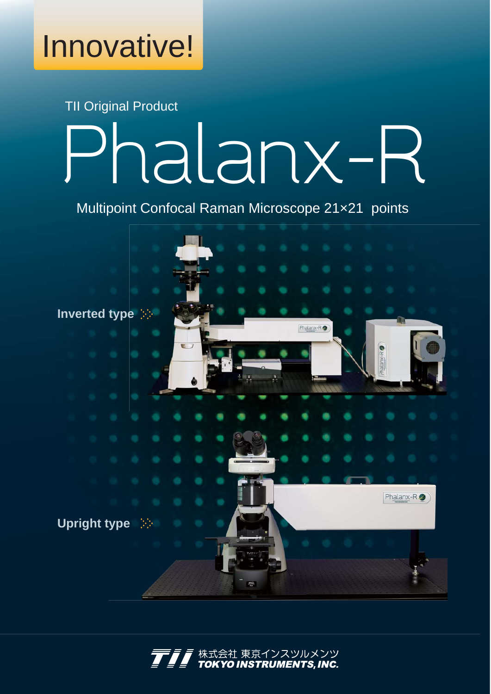Innovative!

## TII Original Product Phalanx-R

Multipoint Confocal Raman Microscope 21×21 points



株式会社 東京インスツルメンツ<br>**TOKYO INSTRUMENTS, INC.** 東京インスツルメンツ